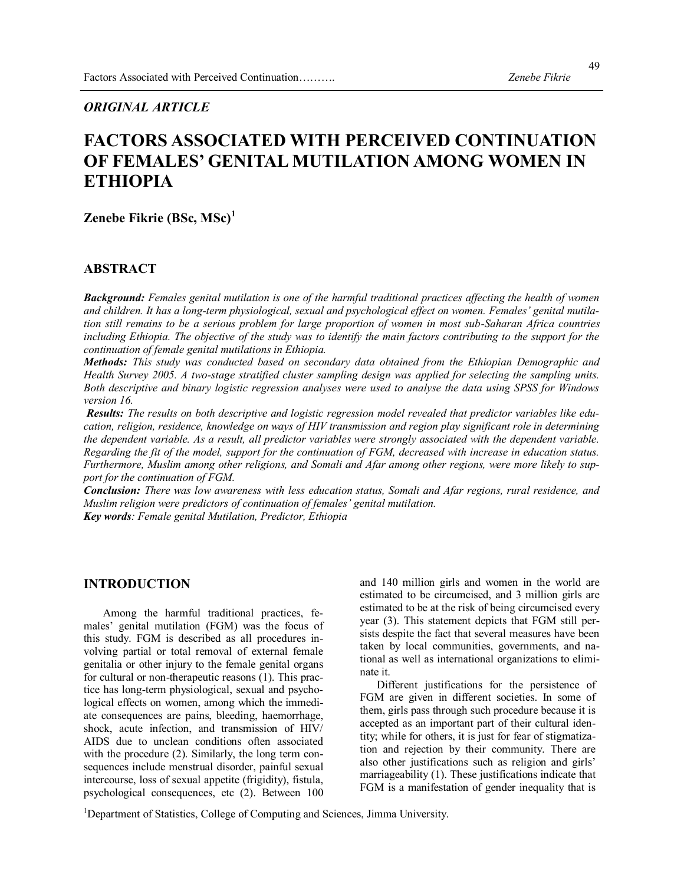49

### *ORIGINAL ARTICLE*

# **FACTORS ASSOCIATED WITH PERCEIVED CONTINUATION OF FEMALES' GENITAL MUTILATION AMONG WOMEN IN ETHIOPIA**

## **Zenebe Fikrie (BSc, MSc)<sup>1</sup>**

#### **ABSTRACT**

*Background: Females genital mutilation is one of the harmful traditional practices affecting the health of women and children. It has a long-term physiological, sexual and psychological effect on women. Females' genital mutilation still remains to be a serious problem for large proportion of women in most sub-Saharan Africa countries including Ethiopia. The objective of the study was to identify the main factors contributing to the support for the continuation of female genital mutilations in Ethiopia.*

*Methods: This study was conducted based on secondary data obtained from the Ethiopian Demographic and Health Survey 2005. A two-stage stratified cluster sampling design was applied for selecting the sampling units. Both descriptive and binary logistic regression analyses were used to analyse the data using SPSS for Windows version 16.*

*Results: The results on both descriptive and logistic regression model revealed that predictor variables like education, religion, residence, knowledge on ways of HIV transmission and region play significant role in determining the dependent variable. As a result, all predictor variables were strongly associated with the dependent variable. Regarding the fit of the model, support for the continuation of FGM, decreased with increase in education status. Furthermore, Muslim among other religions, and Somali and Afar among other regions, were more likely to support for the continuation of FGM.*

*Conclusion: There was low awareness with less education status, Somali and Afar regions, rural residence, and Muslim religion were predictors of continuation of females' genital mutilation. Key words: Female genital Mutilation, Predictor, Ethiopia*

#### **INTRODUCTION**

 Among the harmful traditional practices, females' genital mutilation (FGM) was the focus of this study. FGM is described as all procedures involving partial or total removal of external female genitalia or other injury to the female genital organs for cultural or non-therapeutic reasons (1). This practice has long-term physiological, sexual and psychological effects on women, among which the immediate consequences are pains, bleeding, haemorrhage, shock, acute infection, and transmission of HIV/ AIDS due to unclean conditions often associated with the procedure (2). Similarly, the long term consequences include menstrual disorder, painful sexual intercourse, loss of sexual appetite (frigidity), fistula, psychological consequences, etc (2). Between 100

and 140 million girls and women in the world are estimated to be circumcised, and 3 million girls are estimated to be at the risk of being circumcised every year (3). This statement depicts that FGM still persists despite the fact that several measures have been taken by local communities, governments, and national as well as international organizations to eliminate it.

 Different justifications for the persistence of FGM are given in different societies. In some of them, girls pass through such procedure because it is accepted as an important part of their cultural identity; while for others, it is just for fear of stigmatization and rejection by their community. There are also other justifications such as religion and girls' marriageability (1). These justifications indicate that FGM is a manifestation of gender inequality that is

<sup>1</sup>Department of Statistics, College of Computing and Sciences, Jimma University.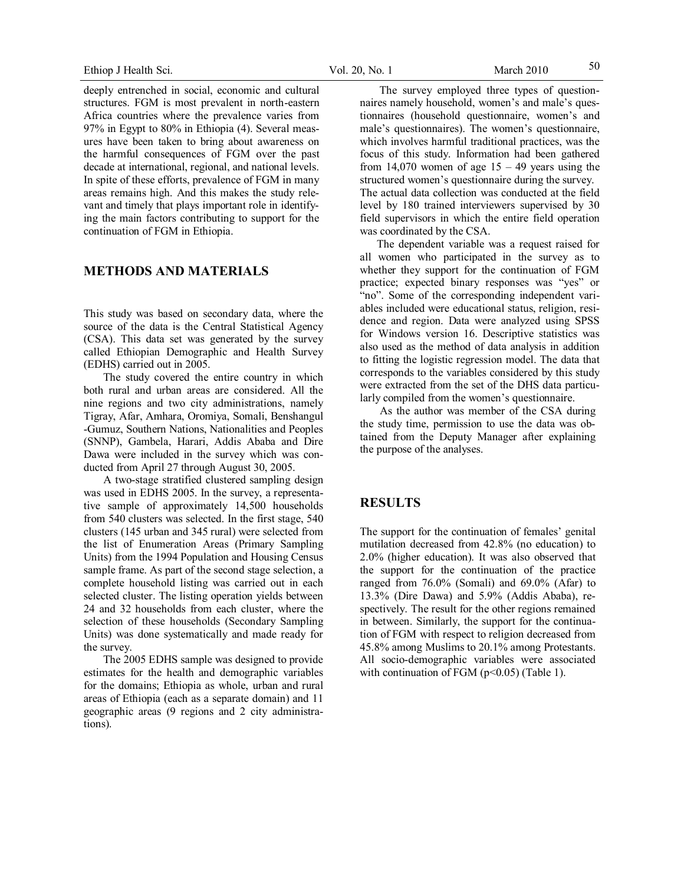deeply entrenched in social, economic and cultural structures. FGM is most prevalent in north-eastern Africa countries where the prevalence varies from 97% in Egypt to 80% in Ethiopia (4). Several measures have been taken to bring about awareness on the harmful consequences of FGM over the past decade at international, regional, and national levels. In spite of these efforts, prevalence of FGM in many areas remains high. And this makes the study relevant and timely that plays important role in identifying the main factors contributing to support for the continuation of FGM in Ethiopia.

#### **METHODS AND MATERIALS**

This study was based on secondary data, where the source of the data is the Central Statistical Agency (CSA). This data set was generated by the survey called Ethiopian Demographic and Health Survey (EDHS) carried out in 2005.

 The study covered the entire country in which both rural and urban areas are considered. All the nine regions and two city administrations, namely Tigray, Afar, Amhara, Oromiya, Somali, Benshangul -Gumuz, Southern Nations, Nationalities and Peoples (SNNP), Gambela, Harari, Addis Ababa and Dire Dawa were included in the survey which was conducted from April 27 through August 30, 2005.

 A two-stage stratified clustered sampling design was used in EDHS 2005. In the survey, a representative sample of approximately 14,500 households from 540 clusters was selected. In the first stage, 540 clusters (145 urban and 345 rural) were selected from the list of Enumeration Areas (Primary Sampling Units) from the 1994 Population and Housing Census sample frame. As part of the second stage selection, a complete household listing was carried out in each selected cluster. The listing operation yields between 24 and 32 households from each cluster, where the selection of these households (Secondary Sampling Units) was done systematically and made ready for the survey.

 The 2005 EDHS sample was designed to provide estimates for the health and demographic variables for the domains; Ethiopia as whole, urban and rural areas of Ethiopia (each as a separate domain) and 11 geographic areas (9 regions and 2 city administrations).

 The survey employed three types of questionnaires namely household, women's and male's questionnaires (household questionnaire, women's and male's questionnaires). The women's questionnaire, which involves harmful traditional practices, was the focus of this study. Information had been gathered from 14,070 women of age  $15 - 49$  years using the structured women's questionnaire during the survey. The actual data collection was conducted at the field level by 180 trained interviewers supervised by 30 field supervisors in which the entire field operation was coordinated by the CSA.

 The dependent variable was a request raised for all women who participated in the survey as to whether they support for the continuation of FGM practice; expected binary responses was "yes" or "no". Some of the corresponding independent variables included were educational status, religion, residence and region. Data were analyzed using SPSS for Windows version 16. Descriptive statistics was also used as the method of data analysis in addition to fitting the logistic regression model. The data that corresponds to the variables considered by this study were extracted from the set of the DHS data particularly compiled from the women's questionnaire.

 As the author was member of the CSA during the study time, permission to use the data was obtained from the Deputy Manager after explaining the purpose of the analyses.

#### **RESULTS**

The support for the continuation of females' genital mutilation decreased from 42.8% (no education) to 2.0% (higher education). It was also observed that the support for the continuation of the practice ranged from 76.0% (Somali) and 69.0% (Afar) to 13.3% (Dire Dawa) and 5.9% (Addis Ababa), respectively. The result for the other regions remained in between. Similarly, the support for the continuation of FGM with respect to religion decreased from 45.8% among Muslims to 20.1% among Protestants. All socio-demographic variables were associated with continuation of FGM ( $p<0.05$ ) (Table 1).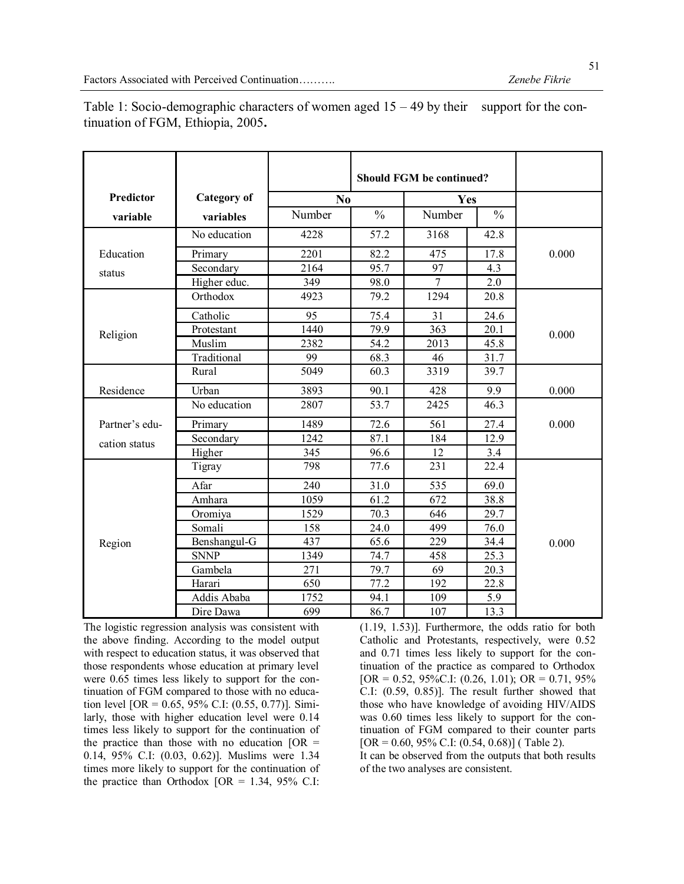|                |                    | <b>Should FGM be continued?</b> |               |                         |      |       |  |
|----------------|--------------------|---------------------------------|---------------|-------------------------|------|-------|--|
| Predictor      | <b>Category</b> of | N <sub>0</sub>                  |               | Yes                     |      |       |  |
| variable       | variables          | Number                          | $\frac{0}{0}$ | Number<br>$\frac{0}{0}$ |      |       |  |
|                | No education       | 4228                            | 57.2          | 3168                    | 42.8 |       |  |
| Education      | Primary            | 2201                            | 82.2          | 475                     | 17.8 | 0.000 |  |
| status         | Secondary          | 2164                            | 95.7          | 97                      | 4.3  |       |  |
|                | Higher educ.       | 349                             | 98.0          | $\overline{7}$          | 2.0  |       |  |
|                | Orthodox           | 4923                            | 79.2          | 1294                    | 20.8 |       |  |
|                | Catholic           | 95                              | 75.4          | 31                      | 24.6 |       |  |
| Religion       | Protestant         | 1440                            | 79.9          | 363                     | 20.1 | 0.000 |  |
|                | Muslim             | 2382                            | 54.2          | 2013                    | 45.8 |       |  |
|                | Traditional        | 99                              | 68.3          | 46                      | 31.7 |       |  |
|                | Rural              | 5049                            | 60.3          | 3319                    | 39.7 |       |  |
| Residence      | Urban              | 3893                            | 90.1          | 428                     | 9.9  | 0.000 |  |
|                | No education       | 2807                            | 53.7          | 2425                    | 46.3 |       |  |
| Partner's edu- | Primary            | 1489                            | 72.6          | 561                     | 27.4 | 0.000 |  |
| cation status  | Secondary          | 1242                            | 87.1          | 184                     | 12.9 |       |  |
|                | Higher             | 345                             | 96.6          | 12                      | 3.4  |       |  |
|                | Tigray             | 798                             | 77.6          | 231                     | 22.4 |       |  |
|                | Afar               | 240                             | 31.0          | 535                     | 69.0 |       |  |
|                | Amhara             | 1059                            | 61.2          | 672                     | 38.8 |       |  |
|                | Oromiya            | 1529                            | 70.3          | 646                     | 29.7 |       |  |
| Region         | Somali             | 158                             | 24.0          | 499                     | 76.0 |       |  |
|                | Benshangul-G       | 437                             | 65.6          | 229                     | 34.4 | 0.000 |  |
|                | <b>SNNP</b>        | 1349                            | 74.7          | 458                     | 25.3 |       |  |
|                | Gambela            | 271                             | 79.7          | 69                      | 20.3 |       |  |
|                | Harari             | 650                             | 77.2          | 192                     | 22.8 |       |  |
|                | Addis Ababa        | 1752                            | 94.1          | 109                     | 5.9  |       |  |
|                | Dire Dawa          | 699                             | 86.7          | 107                     | 13.3 |       |  |

Table 1: Socio-demographic characters of women aged  $15 - 49$  by their support for the continuation of FGM, Ethiopia, 2005**.**

The logistic regression analysis was consistent with the above finding. According to the model output with respect to education status, it was observed that those respondents whose education at primary level were 0.65 times less likely to support for the continuation of FGM compared to those with no education level [OR =  $0.65$ , 95% C.I:  $(0.55, 0.77)$ ]. Similarly, those with higher education level were 0.14 times less likely to support for the continuation of the practice than those with no education  $[OR =$ 0.14, 95% C.I: (0.03, 0.62)]. Muslims were 1.34 times more likely to support for the continuation of the practice than Orthodox  $[OR = 1.34, 95\% \text{ C.I}]$ 

(1.19, 1.53)]. Furthermore, the odds ratio for both Catholic and Protestants, respectively, were 0.52 and 0.71 times less likely to support for the continuation of the practice as compared to Orthodox  $[OR = 0.52, 95\%C.I: (0.26, 1.01); OR = 0.71, 95\%$ C.I: (0.59, 0.85)]. The result further showed that those who have knowledge of avoiding HIV/AIDS was 0.60 times less likely to support for the continuation of FGM compared to their counter parts  $[OR = 0.60, 95\% \text{ C.I: } (0.54, 0.68)]$  (Table 2). It can be observed from the outputs that both results

of the two analyses are consistent.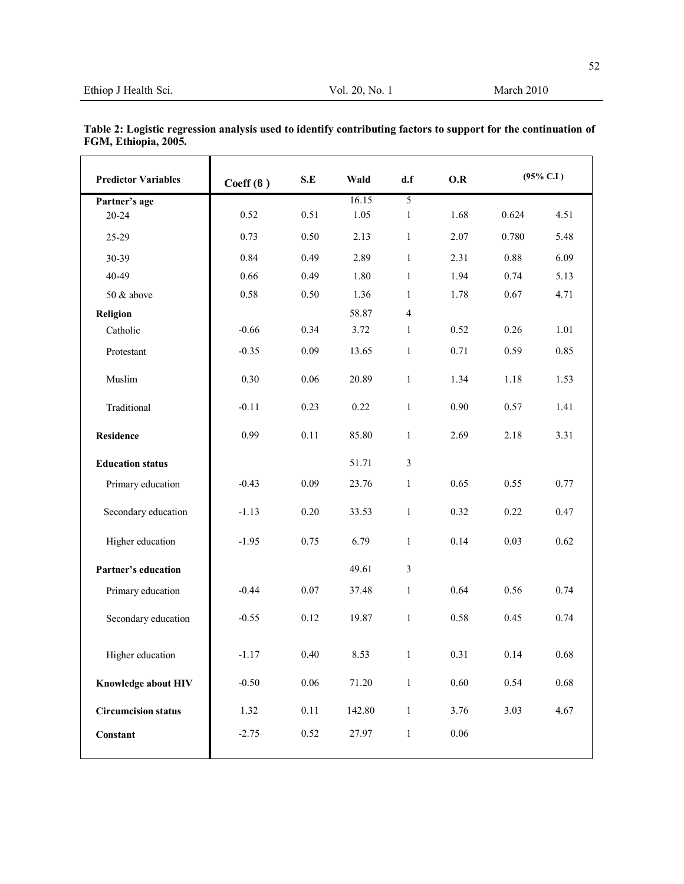52

| <b>Predictor Variables</b> | Coeff(6) | S.E  | Wald   | d.f            | O.R  | $(95\% \text{ C.1})$ |          |
|----------------------------|----------|------|--------|----------------|------|----------------------|----------|
| Partner's age              |          |      | 16.15  | 5              |      |                      |          |
| 20-24                      | 0.52     | 0.51 | 1.05   | 1              | 1.68 | 0.624                | 4.51     |
| 25-29                      | 0.73     | 0.50 | 2.13   | $\mathbf{1}$   | 2.07 | 0.780                | 5.48     |
| 30-39                      | 0.84     | 0.49 | 2.89   | $\mathbf{1}$   | 2.31 | 0.88                 | 6.09     |
| 40-49                      | 0.66     | 0.49 | 1.80   | $\mathbf{1}$   | 1.94 | 0.74                 | 5.13     |
| 50 & above                 | 0.58     | 0.50 | 1.36   | $\mathbf{1}$   | 1.78 | 0.67                 | 4.71     |
| Religion                   |          |      | 58.87  | $\overline{4}$ |      |                      |          |
| Catholic                   | $-0.66$  | 0.34 | 3.72   | $\mathbf{1}$   | 0.52 | 0.26                 | 1.01     |
| Protestant                 | $-0.35$  | 0.09 | 13.65  | $\mathbf{1}$   | 0.71 | 0.59                 | 0.85     |
| Muslim                     | 0.30     | 0.06 | 20.89  | $\mathbf{1}$   | 1.34 | 1.18                 | 1.53     |
| Traditional                | $-0.11$  | 0.23 | 0.22   | $\mathbf{1}$   | 0.90 | 0.57                 | 1.41     |
| <b>Residence</b>           | 0.99     | 0.11 | 85.80  | $\mathbf{1}$   | 2.69 | 2.18                 | 3.31     |
| <b>Education status</b>    |          |      | 51.71  | $\mathfrak{Z}$ |      |                      |          |
| Primary education          | $-0.43$  | 0.09 | 23.76  | 1              | 0.65 | 0.55                 | 0.77     |
| Secondary education        | $-1.13$  | 0.20 | 33.53  | $\mathbf{1}$   | 0.32 | 0.22                 | 0.47     |
| Higher education           | $-1.95$  | 0.75 | 6.79   | $\mathbf{1}$   | 0.14 | 0.03                 | 0.62     |
| Partner's education        |          |      | 49.61  | $\mathfrak{Z}$ |      |                      |          |
| Primary education          | $-0.44$  | 0.07 | 37.48  | $\mathbf{1}$   | 0.64 | 0.56                 | 0.74     |
| Secondary education        | $-0.55$  | 0.12 | 19.87  | $\mathbf{1}$   | 0.58 | 0.45                 | 0.74     |
| Higher education           | $-1.17$  | 0.40 | 8.53   | $\mathbf{1}$   | 0.31 | 0.14                 | $0.68\,$ |
| Knowledge about HIV        | $-0.50$  | 0.06 | 71.20  | $\mathbf{1}$   | 0.60 | 0.54                 | 0.68     |
| <b>Circumcision status</b> | 1.32     | 0.11 | 142.80 | $\mathbf{1}$   | 3.76 | 3.03                 | 4.67     |
| Constant                   | $-2.75$  | 0.52 | 27.97  | $\mathbf{1}$   | 0.06 |                      |          |

| Table 2: Logistic regression analysis used to identify contributing factors to support for the continuation of |  |
|----------------------------------------------------------------------------------------------------------------|--|
| FGM, Ethiopia, 2005.                                                                                           |  |